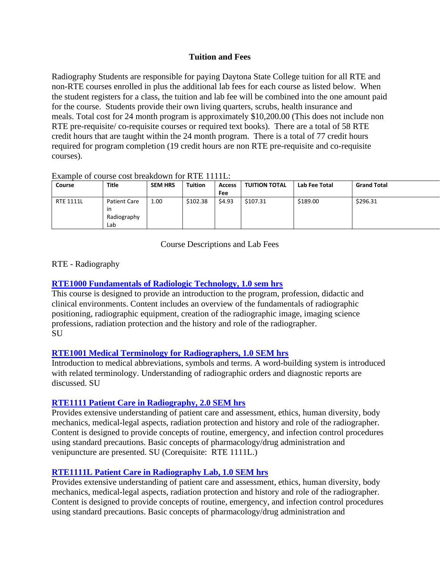## **Tuition and Fees**

Radiography Students are responsible for paying Daytona State College tuition for all RTE and non-RTE courses enrolled in plus the additional lab fees for each course as listed below. When the student registers for a class, the tuition and lab fee will be combined into the one amount paid for the course. Students provide their own living quarters, scrubs, health insurance and meals. Total cost for 24 month program is approximately \$10,200.00 (This does not include non RTE pre-requisite/ co-requisite courses or required text books). There are a total of 58 RTE credit hours that are taught within the 24 month program. There is a total of 77 credit hours required for program completion (19 credit hours are non RTE pre-requisite and co-requisite courses).

### Example of course cost breakdown for RTE 1111L:

| Course           | <b>Title</b>                                    | <b>SEM HRS</b> | <b>Tuition</b> | <b>Access</b> | <b>TUITION TOTAL</b> | Lab Fee Total | <b>Grand Total</b> |
|------------------|-------------------------------------------------|----------------|----------------|---------------|----------------------|---------------|--------------------|
|                  |                                                 |                |                | Fee           |                      |               |                    |
| <b>RTE 1111L</b> | <b>Patient Care</b><br>in<br>Radiography<br>Lab | 1.00           | \$102.38       | \$4.93        | \$107.31             | \$189.00      | \$296.31           |

Course Descriptions and Lab Fees

## RTE - Radiography

## **[RTE1000 Fundamentals of Radiologic Technology, 1.0 sem hrs](http://www.daytonastate.edu/CollegeCatalog/CrsInfo.aspx?crsNo=RTE1000&cat=CC15)**

This course is designed to provide an introduction to the program, profession, didactic and clinical environments. Content includes an overview of the fundamentals of radiographic positioning, radiographic equipment, creation of the radiographic image, imaging science professions, radiation protection and the history and role of the radiographer. **SU** 

### **[RTE1001 Medical Terminology for Radiographers, 1.0 SEM hrs](http://www.daytonastate.edu/CollegeCatalog/CrsInfo.aspx?crsNo=RTE1001&cat=CC15)**

Introduction to medical abbreviations, symbols and terms. A word-building system is introduced with related terminology. Understanding of radiographic orders and diagnostic reports are discussed. SU

### **RTE1111 Patient Care in Radiography, 2.0 SEM hrs**

Provides extensive understanding of patient care and assessment, ethics, human diversity, body mechanics, medical-legal aspects, radiation protection and history and role of the radiographer. Content is designed to provide concepts of routine, emergency, and infection control procedures using standard precautions. Basic concepts of pharmacology/drug administration and venipuncture are presented. SU (Corequisite: RTE 1111L.)

### **RTE1111L Patient Care in Radiography Lab, 1.0 SEM hrs**

Provides extensive understanding of patient care and assessment, ethics, human diversity, body mechanics, medical-legal aspects, radiation protection and history and role of the radiographer. Content is designed to provide concepts of routine, emergency, and infection control procedures using standard precautions. Basic concepts of pharmacology/drug administration and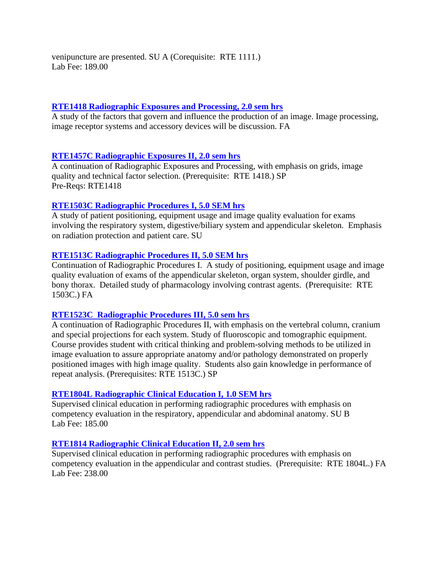venipuncture are presented. SU A (Corequisite: RTE 1111.) Lab Fee: 189.00

### **[RTE1418 Radiographic Exposures and Processing, 2.0 sem hrs](http://www.daytonastate.edu/CollegeCatalog/CrsInfo.aspx?crsNo=RTE1418&cat=CC15)**

A study of the factors that govern and influence the production of an image. Image processing, image receptor systems and accessory devices will be discussion. FA

## **RTE1457C [Radiographic Exposures II, 2.0 sem hrs](http://www.daytonastate.edu/CollegeCatalog/CrsInfo.aspx?crsNo=RTE1457&cat=CC15)**

A continuation of Radiographic Exposures and Processing, with emphasis on grids, image quality and technical factor selection. (Prerequisite: RTE 1418.) SP Pre-Reqs: RTE1418

## **RTE1503C [Radiographic Procedures I, 5.0 SEM hrs](http://www.daytonastate.edu/CollegeCatalog/CrsInfo.aspx?crsNo=RTE1503&cat=CC15)**

A study of patient positioning, equipment usage and image quality evaluation for exams involving the respiratory system, digestive/biliary system and appendicular skeleton. Emphasis on radiation protection and patient care. SU

## **RTE1513C [Radiographic Procedures II, 5.0 SEM hrs](http://www.daytonastate.edu/CollegeCatalog/CrsInfo.aspx?crsNo=RTE1513&cat=CC15)**

Continuation of Radiographic Procedures I. A study of positioning, equipment usage and image quality evaluation of exams of the appendicular skeleton, organ system, shoulder girdle, and bony thorax. Detailed study of pharmacology involving contrast agents. (Prerequisite: RTE 1503C.) FA

### **RTE1523C [Radiographic Procedures III, 5.0 sem hrs](http://www.daytonastate.edu/CollegeCatalog/CrsInfo.aspx?crsNo=RTE1523&cat=CC15)**

A continuation of Radiographic Procedures II, with emphasis on the vertebral column, cranium and special projections for each system. Study of fluoroscopic and tomographic equipment. Course provides student with critical thinking and problem-solving methods to be utilized in image evaluation to assure appropriate anatomy and/or pathology demonstrated on properly positioned images with high image quality. Students also gain knowledge in performance of repeat analysis. (Prerequisites: RTE 1513C.) SP

### **RTE1804L [Radiographic Clinical Education I, 1.0 SEM hrs](http://www.daytonastate.edu/CollegeCatalog/CrsInfo.aspx?crsNo=RTE1804&cat=CC15)**

Supervised clinical education in performing radiographic procedures with emphasis on competency evaluation in the respiratory, appendicular and abdominal anatomy. SU B Lab Fee: 185.00

### **[RTE1814 Radiographic Clinical Education II, 2.0 sem hrs](http://www.daytonastate.edu/CollegeCatalog/CrsInfo.aspx?crsNo=RTE1814&cat=CC15)**

Supervised clinical education in performing radiographic procedures with emphasis on competency evaluation in the appendicular and contrast studies. (Prerequisite: RTE 1804L.) FA Lab Fee: 238.00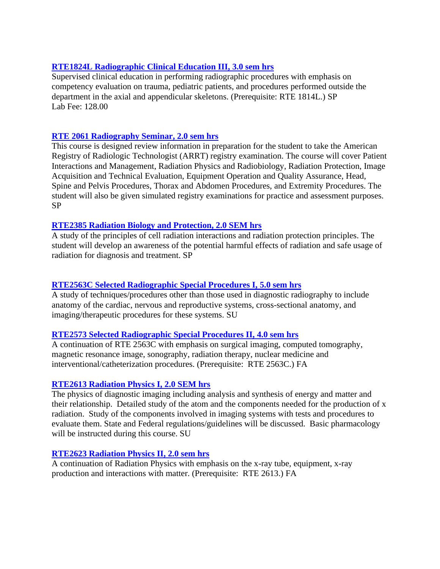## **RTE1824L [Radiographic Clinical Education III, 3.0 sem hrs](http://www.daytonastate.edu/CollegeCatalog/CrsInfo.aspx?crsNo=RTE1824&cat=CC15)**

Supervised clinical education in performing radiographic procedures with emphasis on competency evaluation on trauma, pediatric patients, and procedures performed outside the department in the axial and appendicular skeletons. (Prerequisite: RTE 1814L.) SP Lab Fee: 128.00

## **RTE 2061 [Radiography Seminar, 2.0 sem hrs](http://www.daytonastate.edu/CollegeCatalog/CrsInfo.aspx?crsNo=RTE1824&cat=CC15)**

This course is designed review information in preparation for the student to take the American Registry of Radiologic Technologist (ARRT) registry examination. The course will cover Patient Interactions and Management, Radiation Physics and Radiobiology, Radiation Protection, Image Acquisition and Technical Evaluation, Equipment Operation and Quality Assurance, Head, Spine and Pelvis Procedures, Thorax and Abdomen Procedures, and Extremity Procedures. The student will also be given simulated registry examinations for practice and assessment purposes. SP

### **[RTE2385 Radiation Biology and Protection, 2.0 SEM hrs](http://www.daytonastate.edu/CollegeCatalog/CrsInfo.aspx?crsNo=RTE2385&cat=CC15)**

A study of the principles of cell radiation interactions and radiation protection principles. The student will develop an awareness of the potential harmful effects of radiation and safe usage of radiation for diagnosis and treatment. SP

### **RTE2563C [Selected Radiographic Special Procedures I, 5.0 sem hrs](http://www.daytonastate.edu/CollegeCatalog/CrsInfo.aspx?crsNo=RTE2563&cat=CC15)**

A study of techniques/procedures other than those used in diagnostic radiography to include anatomy of the cardiac, nervous and reproductive systems, cross-sectional anatomy, and imaging/therapeutic procedures for these systems. SU

### **[RTE2573 Selected Radiographic Special Procedures II, 4.0 sem hrs](http://www.daytonastate.edu/CollegeCatalog/CrsInfo.aspx?crsNo=RTE2573&cat=CC15)**

A continuation of RTE 2563C with emphasis on surgical imaging, computed tomography, magnetic resonance image, sonography, radiation therapy, nuclear medicine and interventional/catheterization procedures. (Prerequisite: RTE 2563C.) FA

### **[RTE2613 Radiation Physics I, 2.0 SEM hrs](http://www.daytonastate.edu/CollegeCatalog/CrsInfo.aspx?crsNo=RTE2613&cat=CC15)**

The physics of diagnostic imaging including analysis and synthesis of energy and matter and their relationship. Detailed study of the atom and the components needed for the production of x radiation. Study of the components involved in imaging systems with tests and procedures to evaluate them. State and Federal regulations/guidelines will be discussed. Basic pharmacology will be instructed during this course. SU

### **[RTE2623 Radiation Physics II, 2.0 sem hrs](http://www.daytonastate.edu/CollegeCatalog/CrsInfo.aspx?crsNo=RTE2623&cat=CC15)**

A continuation of Radiation Physics with emphasis on the x-ray tube, equipment, x-ray production and interactions with matter. (Prerequisite: RTE 2613.) FA